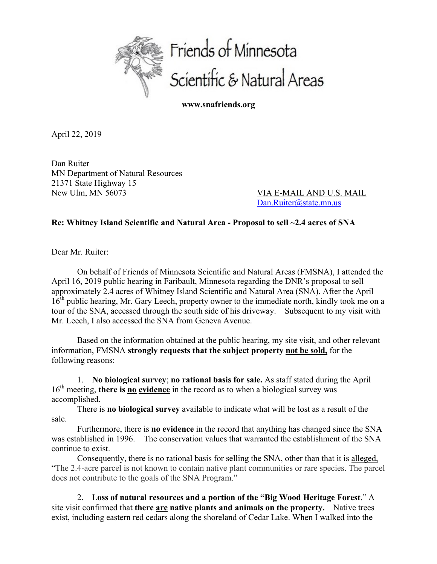

**www.snafriends.org**

April 22, 2019

Dan Ruiter MN Department of Natural Resources 21371 State Highway 15 New Ulm, MN 56073 VIA E-MAIL AND U.S. MAIL

Dan.Ruiter@state.mn.us

## **Re: Whitney Island Scientific and Natural Area - Proposal to sell ~2.4 acres of SNA**

Dear Mr. Ruiter:

On behalf of Friends of Minnesota Scientific and Natural Areas (FMSNA), I attended the April 16, 2019 public hearing in Faribault, Minnesota regarding the DNR's proposal to sell approximately 2.4 acres of Whitney Island Scientific and Natural Area (SNA). After the April 16<sup>th</sup> public hearing, Mr. Gary Leech, property owner to the immediate north, kindly took me on a tour of the SNA, accessed through the south side of his driveway. Subsequent to my visit with Mr. Leech, I also accessed the SNA from Geneva Avenue.

Based on the information obtained at the public hearing, my site visit, and other relevant information, FMSNA **strongly requests that the subject property not be sold,** for the following reasons:

1. **No biological survey**; **no rational basis for sale.** As staff stated during the April 16<sup>th</sup> meeting, **there is no evidence** in the record as to when a biological survey was accomplished.

There is **no biological survey** available to indicate what will be lost as a result of the sale.

Furthermore, there is **no evidence** in the record that anything has changed since the SNA was established in 1996. The conservation values that warranted the establishment of the SNA continue to exist.

Consequently, there is no rational basis for selling the SNA, other than that it is alleged, "The 2.4-acre parcel is not known to contain native plant communities or rare species. The parcel does not contribute to the goals of the SNA Program."

2. L**oss of natural resources and a portion of the "Big Wood Heritage Forest**." A site visit confirmed that **there are native plants and animals on the property.** Native trees exist, including eastern red cedars along the shoreland of Cedar Lake. When I walked into the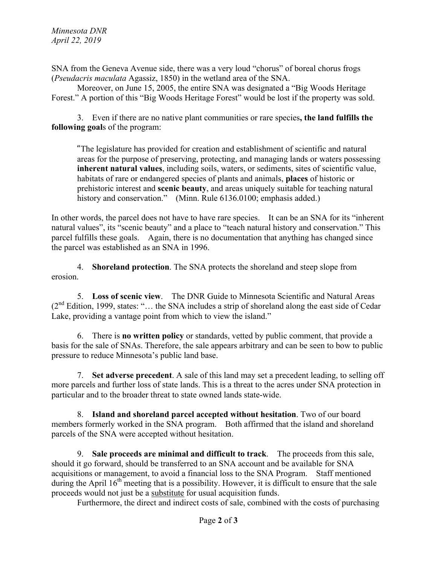SNA from the Geneva Avenue side, there was a very loud "chorus" of boreal chorus frogs (*Pseudacris maculata* Agassiz, 1850) in the wetland area of the SNA.

Moreover, on June 15, 2005, the entire SNA was designated a "Big Woods Heritage Forest." A portion of this "Big Woods Heritage Forest" would be lost if the property was sold.

3.Even if there are no native plant communities or rare species**, the land fulfills the following goal**s of the program:

"The legislature has provided for creation and establishment of scientific and natural areas for the purpose of preserving, protecting, and managing lands or waters possessing **inherent natural values**, including soils, waters, or sediments, sites of scientific value, habitats of rare or endangered species of plants and animals, **places** of historic or prehistoric interest and **scenic beauty**, and areas uniquely suitable for teaching natural history and conservation." (Minn. Rule 6136.0100; emphasis added.)

In other words, the parcel does not have to have rare species. It can be an SNA for its "inherent natural values", its "scenic beauty" and a place to "teach natural history and conservation." This parcel fulfills these goals. Again, there is no documentation that anything has changed since the parcel was established as an SNA in 1996.

4. **Shoreland protection**. The SNA protects the shoreland and steep slope from erosion.

5. **Loss of scenic view**. The DNR Guide to Minnesota Scientific and Natural Areas  $(2<sup>nd</sup> Edition, 1999, states: "... the SNA includes a strip of shoreland along the east side of Cedar)$ Lake, providing a vantage point from which to view the island."

6. There is **no written policy** or standards, vetted by public comment, that provide a basis for the sale of SNAs. Therefore, the sale appears arbitrary and can be seen to bow to public pressure to reduce Minnesota's public land base.

7. **Set adverse precedent**. A sale of this land may set a precedent leading, to selling off more parcels and further loss of state lands. This is a threat to the acres under SNA protection in particular and to the broader threat to state owned lands state-wide.

8. **Island and shoreland parcel accepted without hesitation**. Two of our board members formerly worked in the SNA program. Both affirmed that the island and shoreland parcels of the SNA were accepted without hesitation.

9. **Sale proceeds are minimal and difficult to track**. The proceeds from this sale, should it go forward, should be transferred to an SNA account and be available for SNA acquisitions or management, to avoid a financial loss to the SNA Program. Staff mentioned during the April  $16<sup>th</sup>$  meeting that is a possibility. However, it is difficult to ensure that the sale proceeds would not just be a substitute for usual acquisition funds.

Furthermore, the direct and indirect costs of sale, combined with the costs of purchasing